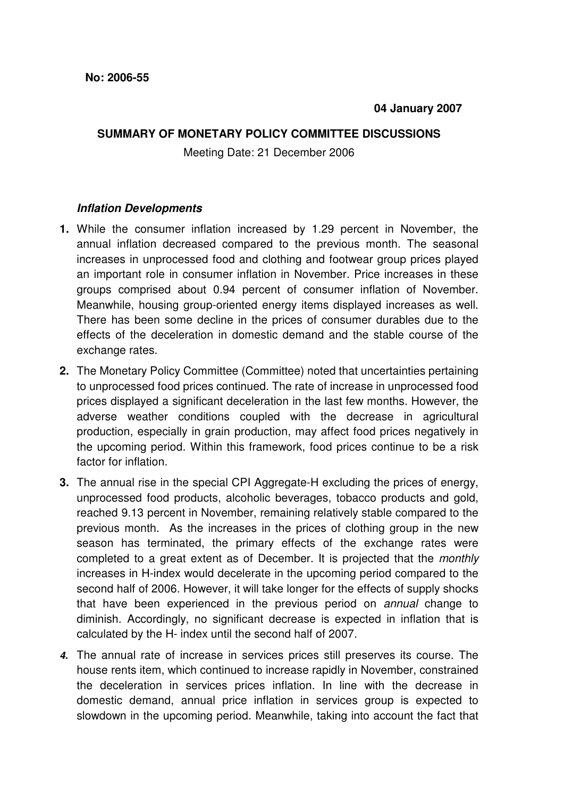## **SUMMARY OF MONETARY POLICY COMMITTEE DISCUSSIONS**

Meeting Date: 21 December 2006

## **Inflation Developments**

- **1.** While the consumer inflation increased by 1.29 percent in November, the annual inflation decreased compared to the previous month. The seasonal increases in unprocessed food and clothing and footwear group prices played an important role in consumer inflation in November. Price increases in these groups comprised about 0.94 percent of consumer inflation of November. Meanwhile, housing group-oriented energy items displayed increases as well. There has been some decline in the prices of consumer durables due to the effects of the deceleration in domestic demand and the stable course of the exchange rates.
- **2.** The Monetary Policy Committee (Committee) noted that uncertainties pertaining to unprocessed food prices continued. The rate of increase in unprocessed food prices displayed a significant deceleration in the last few months. However, the adverse weather conditions coupled with the decrease in agricultural production, especially in grain production, may affect food prices negatively in the upcoming period. Within this framework, food prices continue to be a risk factor for inflation.
- **3.** The annual rise in the special CPI Aggregate-H excluding the prices of energy, unprocessed food products, alcoholic beverages, tobacco products and gold, reached 9.13 percent in November, remaining relatively stable compared to the previous month. As the increases in the prices of clothing group in the new season has terminated, the primary effects of the exchange rates were completed to a great extent as of December. It is projected that the monthly increases in H-index would decelerate in the upcoming period compared to the second half of 2006. However, it will take longer for the effects of supply shocks that have been experienced in the previous period on annual change to diminish. Accordingly, no significant decrease is expected in inflation that is calculated by the H- index until the second half of 2007.
- **4.** The annual rate of increase in services prices still preserves its course. The house rents item, which continued to increase rapidly in November, constrained the deceleration in services prices inflation. In line with the decrease in domestic demand, annual price inflation in services group is expected to slowdown in the upcoming period. Meanwhile, taking into account the fact that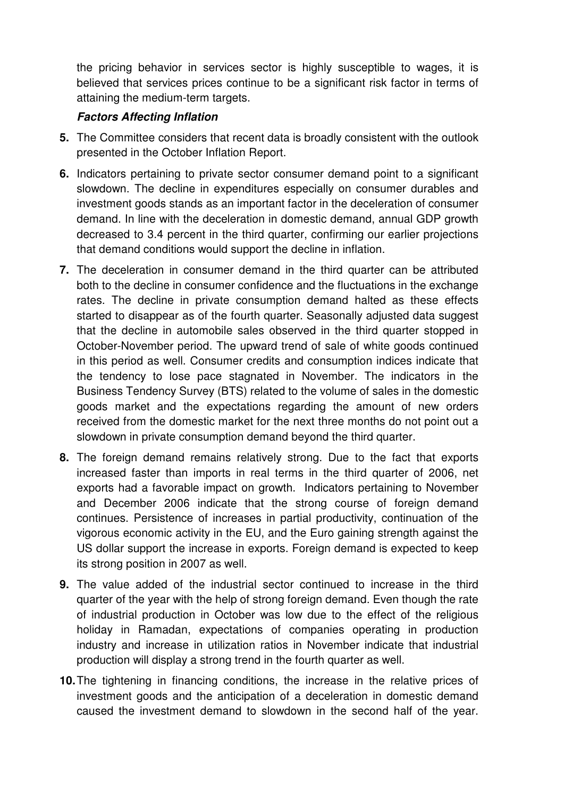the pricing behavior in services sector is highly susceptible to wages, it is believed that services prices continue to be a significant risk factor in terms of attaining the medium-term targets.

## **Factors Affecting Inflation**

- **5.** The Committee considers that recent data is broadly consistent with the outlook presented in the October Inflation Report.
- **6.** Indicators pertaining to private sector consumer demand point to a significant slowdown. The decline in expenditures especially on consumer durables and investment goods stands as an important factor in the deceleration of consumer demand. In line with the deceleration in domestic demand, annual GDP growth decreased to 3.4 percent in the third quarter, confirming our earlier projections that demand conditions would support the decline in inflation.
- **7.** The deceleration in consumer demand in the third quarter can be attributed both to the decline in consumer confidence and the fluctuations in the exchange rates. The decline in private consumption demand halted as these effects started to disappear as of the fourth quarter. Seasonally adjusted data suggest that the decline in automobile sales observed in the third quarter stopped in October-November period. The upward trend of sale of white goods continued in this period as well. Consumer credits and consumption indices indicate that the tendency to lose pace stagnated in November. The indicators in the Business Tendency Survey (BTS) related to the volume of sales in the domestic goods market and the expectations regarding the amount of new orders received from the domestic market for the next three months do not point out a slowdown in private consumption demand beyond the third quarter.
- **8.** The foreign demand remains relatively strong. Due to the fact that exports increased faster than imports in real terms in the third quarter of 2006, net exports had a favorable impact on growth. Indicators pertaining to November and December 2006 indicate that the strong course of foreign demand continues. Persistence of increases in partial productivity, continuation of the vigorous economic activity in the EU, and the Euro gaining strength against the US dollar support the increase in exports. Foreign demand is expected to keep its strong position in 2007 as well.
- **9.** The value added of the industrial sector continued to increase in the third quarter of the year with the help of strong foreign demand. Even though the rate of industrial production in October was low due to the effect of the religious holiday in Ramadan, expectations of companies operating in production industry and increase in utilization ratios in November indicate that industrial production will display a strong trend in the fourth quarter as well.
- **10.** The tightening in financing conditions, the increase in the relative prices of investment goods and the anticipation of a deceleration in domestic demand caused the investment demand to slowdown in the second half of the year.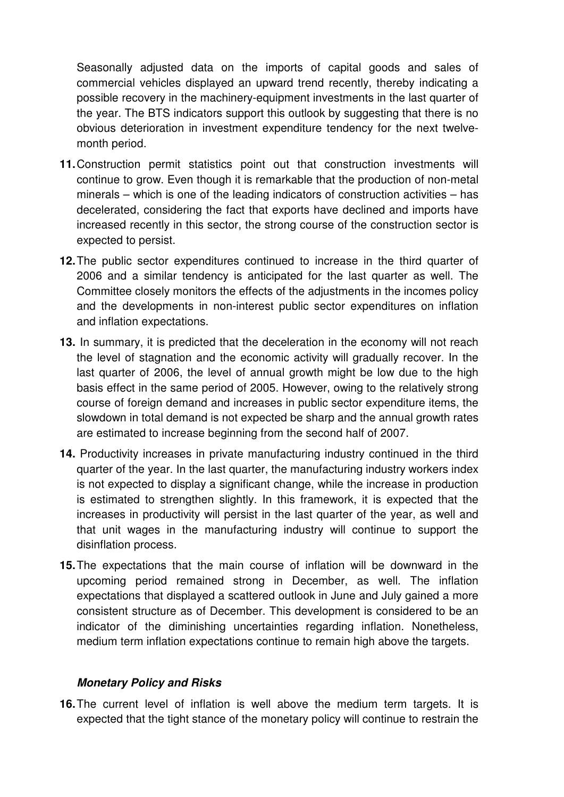Seasonally adjusted data on the imports of capital goods and sales of commercial vehicles displayed an upward trend recently, thereby indicating a possible recovery in the machinery-equipment investments in the last quarter of the year. The BTS indicators support this outlook by suggesting that there is no obvious deterioration in investment expenditure tendency for the next twelvemonth period.

- **11. Construction permit statistics point out that construction investments will** continue to grow. Even though it is remarkable that the production of non-metal minerals – which is one of the leading indicators of construction activities – has decelerated, considering the fact that exports have declined and imports have increased recently in this sector, the strong course of the construction sector is expected to persist.
- **12.** The public sector expenditures continued to increase in the third quarter of 2006 and a similar tendency is anticipated for the last quarter as well. The Committee closely monitors the effects of the adjustments in the incomes policy and the developments in non-interest public sector expenditures on inflation and inflation expectations.
- **13.** In summary, it is predicted that the deceleration in the economy will not reach the level of stagnation and the economic activity will gradually recover. In the last quarter of 2006, the level of annual growth might be low due to the high basis effect in the same period of 2005. However, owing to the relatively strong course of foreign demand and increases in public sector expenditure items, the slowdown in total demand is not expected be sharp and the annual growth rates are estimated to increase beginning from the second half of 2007.
- **14.** Productivity increases in private manufacturing industry continued in the third quarter of the year. In the last quarter, the manufacturing industry workers index is not expected to display a significant change, while the increase in production is estimated to strengthen slightly. In this framework, it is expected that the increases in productivity will persist in the last quarter of the year, as well and that unit wages in the manufacturing industry will continue to support the disinflation process.
- **15.** The expectations that the main course of inflation will be downward in the upcoming period remained strong in December, as well. The inflation expectations that displayed a scattered outlook in June and July gained a more consistent structure as of December. This development is considered to be an indicator of the diminishing uncertainties regarding inflation. Nonetheless, medium term inflation expectations continue to remain high above the targets.

## **Monetary Policy and Risks**

**16.** The current level of inflation is well above the medium term targets. It is expected that the tight stance of the monetary policy will continue to restrain the